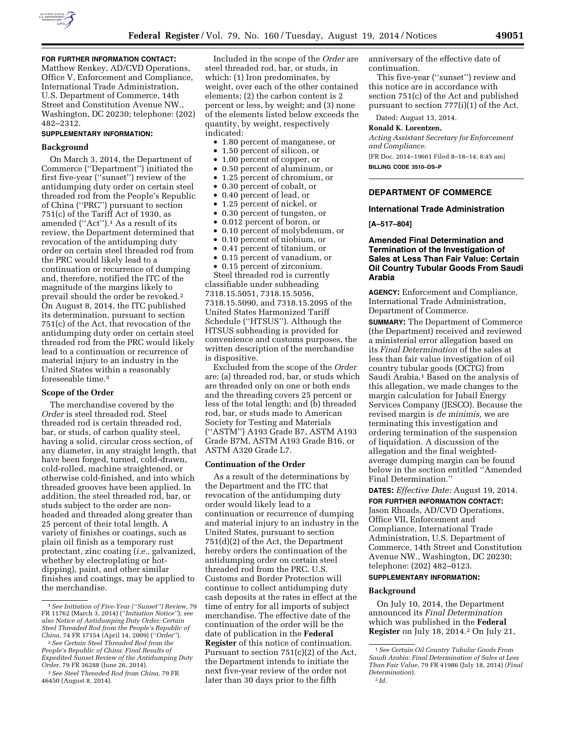

### **FOR FURTHER INFORMATION CONTACT:**

Matthew Renkey, AD/CVD Operations, Office V, Enforcement and Compliance, International Trade Administration, U.S. Department of Commerce, 14th Street and Constitution Avenue NW., Washington, DC 20230; telephone: (202) 482–2312.

#### **SUPPLEMENTARY INFORMATION:**

#### **Background**

On March 3, 2014, the Department of Commerce (''Department'') initiated the first five-year (''sunset'') review of the antidumping duty order on certain steel threaded rod from the People's Republic of China (''PRC'') pursuant to section 751(c) of the Tariff Act of 1930, as amended (''Act'').1 As a result of its review, the Department determined that revocation of the antidumping duty order on certain steel threaded rod from the PRC would likely lead to a continuation or recurrence of dumping and, therefore, notified the ITC of the magnitude of the margins likely to prevail should the order be revoked.2 On August 8, 2014, the ITC published its determination, pursuant to section 751(c) of the Act, that revocation of the antidumping duty order on certain steel threaded rod from the PRC would likely lead to a continuation or recurrence of material injury to an industry in the United States within a reasonably foreseeable time.3

### **Scope of the Order**

The merchandise covered by the *Order* is steel threaded rod. Steel threaded rod is certain threaded rod, bar, or studs, of carbon quality steel, having a solid, circular cross section, of any diameter, in any straight length, that have been forged, turned, cold-drawn, cold-rolled, machine straightened, or otherwise cold-finished, and into which threaded grooves have been applied. In addition, the steel threaded rod, bar, or studs subject to the order are nonheaded and threaded along greater than 25 percent of their total length. A variety of finishes or coatings, such as plain oil finish as a temporary rust protectant, zinc coating (*i.e.,* galvanized, whether by electroplating or hotdipping), paint, and other similar finishes and coatings, may be applied to the merchandise.

Included in the scope of the *Order* are steel threaded rod, bar, or studs, in which: (1) Iron predominates, by weight, over each of the other contained elements; (2) the carbon content is 2 percent or less, by weight; and (3) none of the elements listed below exceeds the quantity, by weight, respectively indicated:

- 1.80 percent of manganese, or
- 1.50 percent of silicon, or
- 1.00 percent of copper, or
- 0.50 percent of aluminum, or
- 1.25 percent of chromium, or
- 0.30 percent of cobalt, or
- 0.40 percent of lead, or
- 1.25 percent of nickel, or
- 0.30 percent of tungsten, or
- 0.012 percent of boron, or
- 0.10 percent of molybdenum, or
- 0.10 percent of niobium, or
- 0.41 percent of titanium, or
- 0.15 percent of vanadium, or

• 0.15 percent of zirconium. Steel threaded rod is currently classifiable under subheading 7318.15.5051, 7318.15.5056, 7318.15.5090, and 7318.15.2095 of the United States Harmonized Tariff Schedule (''HTSUS''). Although the HTSUS subheading is provided for convenience and customs purposes, the written description of the merchandise is dispositive.

Excluded from the scope of the *Order*  are: (a) threaded rod, bar, or studs which are threaded only on one or both ends and the threading covers 25 percent or less of the total length; and (b) threaded rod, bar, or studs made to American Society for Testing and Materials (''ASTM'') A193 Grade B7, ASTM A193 Grade B7M, ASTM A193 Grade B16, or ASTM A320 Grade L7.

#### **Continuation of the Order**

As a result of the determinations by the Department and the ITC that revocation of the antidumping duty order would likely lead to a continuation or recurrence of dumping and material injury to an industry in the United States, pursuant to section 751(d)(2) of the Act, the Department hereby orders the continuation of the antidumping order on certain steel threaded rod from the PRC. U.S. Customs and Border Protection will continue to collect antidumping duty cash deposits at the rates in effect at the time of entry for all imports of subject merchandise. The effective date of the continuation of the order will be the date of publication in the **Federal Register** of this notice of continuation. Pursuant to section 751(c)(2) of the Act, the Department intends to initiate the next five-year review of the order not later than 30 days prior to the fifth

anniversary of the effective date of continuation.

This five-year (''sunset'') review and this notice are in accordance with section 751(c) of the Act and published pursuant to section 777(i)(1) of the Act.

Dated: August 13, 2014.

# **Ronald K. Lorentzen,**

*Acting Assistant Secretary for Enforcement and Compliance.*  [FR Doc. 2014–19661 Filed 8–18–14; 8:45 am] **BILLING CODE 3510–DS–P** 

### **DEPARTMENT OF COMMERCE**

#### **International Trade Administration**

**[A–517–804]** 

### **Amended Final Determination and Termination of the Investigation of Sales at Less Than Fair Value: Certain Oil Country Tubular Goods From Saudi Arabia**

**AGENCY:** Enforcement and Compliance, International Trade Administration, Department of Commerce.

**SUMMARY:** The Department of Commerce (the Department) received and reviewed a ministerial error allegation based on its *Final Determination* of the sales at less than fair value investigation of oil country tubular goods (OCTG) from Saudi Arabia.1 Based on the analysis of this allegation, we made changes to the margin calculation for Jubail Energy Services Company (JESCO). Because the revised margin is *de minimis,* we are terminating this investigation and ordering termination of the suspension of liquidation. A discussion of the allegation and the final weightedaverage dumping margin can be found below in the section entitled ''Amended Final Determination.''

**DATES:** *Effective Date:* August 19, 2014.

**FOR FURTHER INFORMATION CONTACT:** 

Jason Rhoads, AD/CVD Operations, Office VII, Enforcement and Compliance, International Trade Administration, U.S. Department of Commerce, 14th Street and Constitution Avenue NW., Washington, DC 20230; telephone: (202) 482–0123.

# **SUPPLEMENTARY INFORMATION:**

#### **Background**

On July 10, 2014, the Department announced its *Final Determination*  which was published in the **Federal Register** on July 18, 2014.2 On July 21,

<sup>1</sup>*See Initiation of Five-Year (''Sunset'') Review,* 79 FR 11762 (March 3, 2014) (''*Initiation Notice''*); *see also Notice of Antidumping Duty Order: Certain Steel Threaded Rod from the People's Republic of* 

*China,* 74 FR 17154 (April 14, 2009) (''*Order*''). 2*See Certain Steel Threaded Rod from the People's Republic of China: Final Results of Expedited Sunset Review of the Antidumping Duty Order,* 79 FR 36288 (June 26, 2014).

<sup>3</sup>*See Steel Threaded Rod from China,* 79 FR 46450 (August 8, 2014).

<sup>1</sup>*See Certain Oil Country Tubular Goods From Saudi Arabia: Final Determination of Sales at Less Than Fair Value,* 79 FR 41986 (July 18, 2014) *(Final Determination*). 2 *Id.*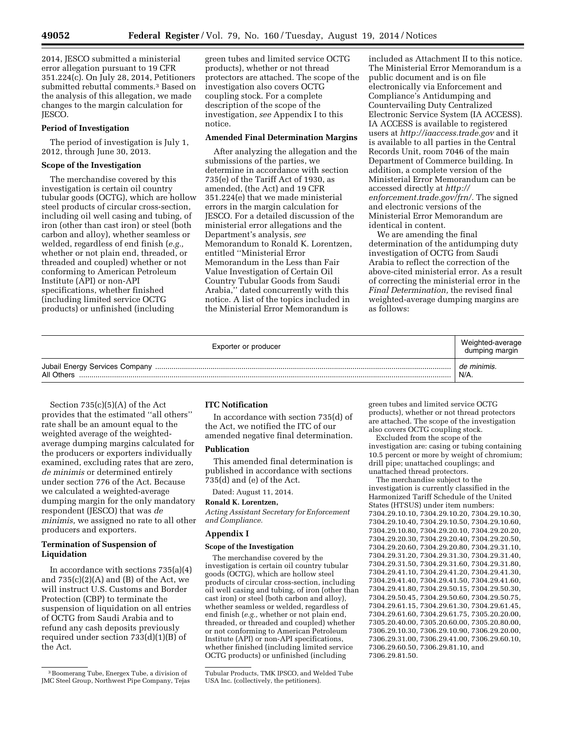2014, JESCO submitted a ministerial error allegation pursuant to 19 CFR 351.224(c). On July 28, 2014, Petitioners submitted rebuttal comments.<sup>3</sup> Based on the analysis of this allegation, we made changes to the margin calculation for JESCO.

#### **Period of Investigation**

The period of investigation is July 1, 2012, through June 30, 2013.

#### **Scope of the Investigation**

The merchandise covered by this investigation is certain oil country tubular goods (OCTG), which are hollow steel products of circular cross-section, including oil well casing and tubing, of iron (other than cast iron) or steel (both carbon and alloy), whether seamless or welded, regardless of end finish (*e.g.,*  whether or not plain end, threaded, or threaded and coupled) whether or not conforming to American Petroleum Institute (API) or non-API specifications, whether finished (including limited service OCTG products) or unfinished (including

green tubes and limited service OCTG products), whether or not thread protectors are attached. The scope of the investigation also covers OCTG coupling stock. For a complete description of the scope of the investigation, *see* Appendix I to this notice.

#### **Amended Final Determination Margins**

After analyzing the allegation and the submissions of the parties, we determine in accordance with section 735(e) of the Tariff Act of 1930, as amended, (the Act) and 19 CFR 351.224(e) that we made ministerial errors in the margin calculation for JESCO. For a detailed discussion of the ministerial error allegations and the Department's analysis, *see*  Memorandum to Ronald K. Lorentzen, entitled ''Ministerial Error Memorandum in the Less than Fair Value Investigation of Certain Oil Country Tubular Goods from Saudi Arabia,'' dated concurrently with this notice. A list of the topics included in the Ministerial Error Memorandum is

included as Attachment II to this notice. The Ministerial Error Memorandum is a public document and is on file electronically via Enforcement and Compliance's Antidumping and Countervailing Duty Centralized Electronic Service System (IA ACCESS). IA ACCESS is available to registered users at *<http://iaaccess.trade.gov>* and it is available to all parties in the Central Records Unit, room 7046 of the main Department of Commerce building. In addition, a complete version of the Ministerial Error Memorandum can be accessed directly at *[http://](http://enforcement.trade.gov/frn/) [enforcement.trade.gov/frn/.](http://enforcement.trade.gov/frn/)* The signed and electronic versions of the Ministerial Error Memorandum are identical in content.

We are amending the final determination of the antidumping duty investigation of OCTG from Saudi Arabia to reflect the correction of the above-cited ministerial error. As a result of correcting the ministerial error in the *Final Determination,* the revised final weighted-average dumping margins are as follows:

| Exporter or producer | Weighted-average<br>dumping margin |
|----------------------|------------------------------------|
| All Others.          | de minimis.<br>N/A.                |

Section  $735(c)(5)(A)$  of the Act provides that the estimated ''all others'' rate shall be an amount equal to the weighted average of the weightedaverage dumping margins calculated for the producers or exporters individually examined, excluding rates that are zero, *de minimis* or determined entirely under section 776 of the Act. Because we calculated a weighted-average dumping margin for the only mandatory respondent (JESCO) that was *de minimis,* we assigned no rate to all other producers and exporters.

# **Termination of Suspension of Liquidation**

In accordance with sections 735(a)(4) and  $735(c)(2)(A)$  and  $(B)$  of the Act, we will instruct U.S. Customs and Border Protection (CBP) to terminate the suspension of liquidation on all entries of OCTG from Saudi Arabia and to refund any cash deposits previously required under section 733(d)(1)(B) of the Act.

### **ITC Notification**

In accordance with section 735(d) of the Act, we notified the ITC of our amended negative final determination.

#### **Publication**

This amended final determination is published in accordance with sections 735(d) and (e) of the Act.

Dated: August 11, 2014.

**Ronald K. Lorentzen,** 

*Acting Assistant Secretary for Enforcement and Compliance.* 

# **Appendix I**

#### **Scope of the Investigation**

The merchandise covered by the investigation is certain oil country tubular goods (OCTG), which are hollow steel products of circular cross-section, including oil well casing and tubing, of iron (other than cast iron) or steel (both carbon and alloy), whether seamless or welded, regardless of end finish (*e.g.,* whether or not plain end, threaded, or threaded and coupled) whether or not conforming to American Petroleum Institute (API) or non-API specifications, whether finished (including limited service OCTG products) or unfinished (including

green tubes and limited service OCTG products), whether or not thread protectors are attached. The scope of the investigation also covers OCTG coupling stock.

Excluded from the scope of the investigation are: casing or tubing containing 10.5 percent or more by weight of chromium; drill pipe; unattached couplings; and unattached thread protectors.

The merchandise subject to the investigation is currently classified in the Harmonized Tariff Schedule of the United States (HTSUS) under item numbers: 7304.29.10.10, 7304.29.10.20, 7304.29.10.30, 7304.29.10.40, 7304.29.10.50, 7304.29.10.60, 7304.29.10.80, 7304.29.20.10, 7304.29.20.20, 7304.29.20.30, 7304.29.20.40, 7304.29.20.50, 7304.29.20.60, 7304.29.20.80, 7304.29.31.10, 7304.29.31.20, 7304.29.31.30, 7304.29.31.40, 7304.29.31.50, 7304.29.31.60, 7304.29.31.80, 7304.29.41.10, 7304.29.41.20, 7304.29.41.30, 7304.29.41.40, 7304.29.41.50, 7304.29.41.60, 7304.29.41.80, 7304.29.50.15, 7304.29.50.30, 7304.29.50.45, 7304.29.50.60, 7304.29.50.75, 7304.29.61.15, 7304.29.61.30, 7304.29.61.45, 7304.29.61.60, 7304.29.61.75, 7305.20.20.00, 7305.20.40.00, 7305.20.60.00, 7305.20.80.00, 7306.29.10.30, 7306.29.10.90, 7306.29.20.00, 7306.29.31.00, 7306.29.41.00, 7306.29.60.10, 7306.29.60.50, 7306.29.81.10, and 7306.29.81.50.

<sup>3</sup>Boomerang Tube, Energex Tube, a division of JMC Steel Group, Northwest Pipe Company, Tejas

Tubular Products, TMK IPSCO, and Welded Tube USA Inc. (collectively, the petitioners).